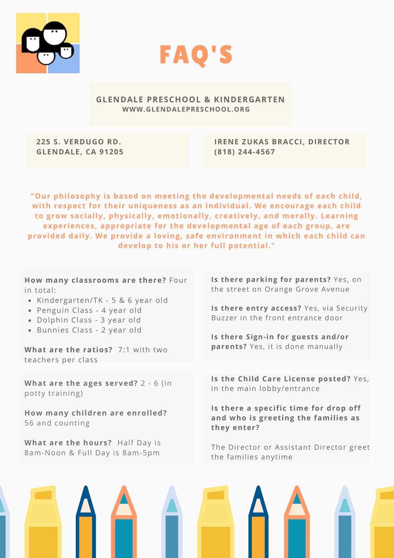



#### **GLENDALE PRESCHOOL & KINDERGARTEN WWW.GLENDALEPRESCHOOL.ORG**

**225 S. VERDUGO RD. GLENDALE, CA 91205** **IRENE ZUKAS BRACCI, DIRECTOR (818) 244-4567**

**"Our philosophy is based on meeting the developmental needs of each child, with respect for their uniqueness as an individual. We encourage each child to grow socially, physically, emotionally, creatively, and morally. Learning experiences, appropriate for the developmental age of each group, are provided daily. We provide a loving, safe environment in which each child can develop to his or her full potential."**

**How many classrooms are there?** Four in total:

- Kindergarten/TK 5 & 6 year old
- Penguin Class 4 year old
- Dolphin Class 3 year old
- Bunnies Class 2 year old

**What are the ratios?** 7:1 with two teachers per class

**What are the ages served?** 2 - 6 (in potty training)

**How many children are enrolled?** 56 and counting

**What are the hours?** Half Day is 8am-Noon & Full Day is 8am-5pm

**Is there parking for parents?** Yes, on the street on Orange Grove Avenue

**Is there entry access?** Yes, via Security Buzzer in the front entrance door

**Is there Sign-in for guests and/or parents?** Yes, it is done manually

**Is the Child Care License posted?** Yes, in the main lobby/entrance

**Is there a specific time for drop off and who is greeting the families as they enter?**

The Director or Assistant Director greet the families anytime

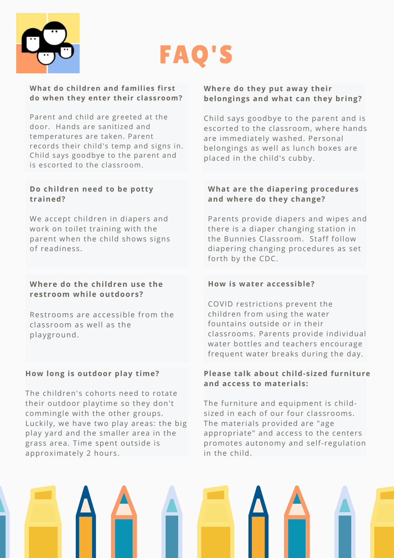

# FAQ'S

## **What do children and families first do when they enter their classroom?**

Parent and child are greeted at the door. Hands are sanitized and temperatures are taken. Parent records their child's temp and signs in. Child says goodbye to the parent and is escorted to the classroom.

## **Do children need to be potty trained?**

We accept children in diapers and work on toilet training with the parent when the child shows signs of readiness.

## **Where do the children use the restroom while outdoors?**

Restrooms are accessible from the classroom as well as the playground.

## **How long is outdoor play time?**

The children's cohorts need to rotate their outdoor playtime so they don't commingle with the other groups. Luckily, we have two play areas: the big play yard and the smaller area in the grass area. Time spent outside is approximately 2 hours.

## **Where do they put away their belongings and what can they bring?**

Child says goodbye to the parent and is escorted to the classroom, where hands are immediately washed. Personal belongings as well as lunch boxes are placed in the child's cubby.

## **What are the diapering procedures and where do they change?**

Parents provide diapers and wipes and there is a diaper changing station in the Bunnies Classroom. Staff follow diapering changing procedures as set forth by the CDC.

## **How is water accessible?**

COVID restrictions prevent the children from using the water fountains outside or in their classrooms. Parents provide individual water bottles and teachers encourage frequent water breaks during the day.

## **Please talk about child-sized furniture and access to materials:**

The furniture and equipment is childsized in each of our four classrooms. The materials provided are "age appropriate" and access to the centers promotes autonomy and self-regulation in the child.

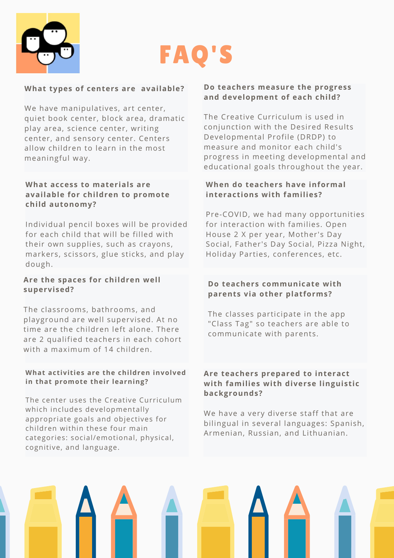



#### **What types of centers are available?**

We have manipulatives, art center, quiet book center, block area, dramatic play area, science center, writing center, and sensory center. Centers allow children to learn in the most meaningful way.

#### **What access to materials are available for children to promote child autonomy?**

Individual pencil boxes will be provided for each child that will be filled with their own supplies, such as crayons, markers, scissors, glue sticks, and play dough.

#### **Are the spaces for children well supervised?**

The classrooms, bathrooms, and playground are well supervised. At no time are the children left alone. There are 2 qualified teachers in each cohort with a maximum of 14 children.

#### **What activities are the children involved in that promote their learning?**

The center uses the Creative Curriculum which includes developmentally appropriate goals and objectives for children within these four main categories: social/emotional, physical, cognitive, and language.

#### **Do teachers measure the progress and development of each child?**

The Creative Curriculum is used in conjunction with the Desired Results Developmental Profile (DRDP) to measure and monitor each child's progress in meeting developmental and educational goals throughout the year.

#### **When do teachers have informal interactions with families?**

Pre-COVID, we had many opportunities for interaction with families. Open House 2 X per year, Mother's Day Social, Father's Day Social, Pizza Night, Holiday Parties, conferences, etc.

#### **Do teachers communicate with parents via other platforms?**

The classes participate in the app "Class Tag" so teachers are able to communicate with parents.

#### **Are teachers prepared to interact with families with diverse linguistic backgrounds?**

We have a very diverse staff that are bilingual in several languages: Spanish, Armenian, Russian, and Lithuanian.

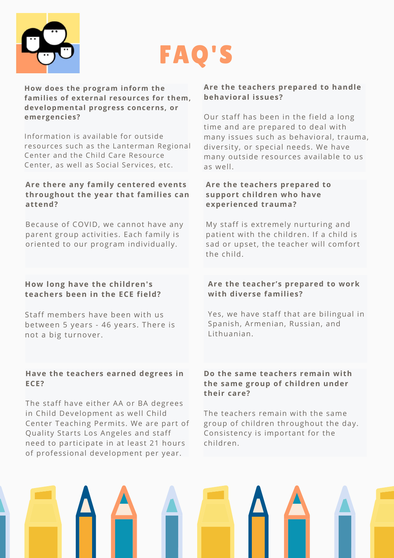

## FAQ'S

**How does the program inform the families of external resources for them, developmental progress concerns, or emergencies?**

Information is available for outside resources such as the Lanterman Regional Center and the Child Care Resource Center, as well as Social Services, etc.

## **Are there any family centered events throughout the year that families can attend?**

Because of COVID, we cannot have any parent group activities. Each family is oriented to our program individually.

## **How long have the children's teachers been in the ECE field?**

Staff members have been with us between 5 years - 46 years. There is not a big turnover.

## **Have the teachers earned degrees in ECE?**

The staff have either AA or BA degrees in Child Development as well Child Center Teaching Permits. We are part of Quality Starts Los Angeles and staff need to participate in at least 21 hours of professional development per year.

## **Are the teachers prepared to handle behavioral issues?**

Our staff has been in the field a long time and are prepared to deal with many issues such as behavioral, trauma, diversity, or special needs. We have many outside resources available to us as well.

## **Are the teachers prepared to support children who have experienced trauma?**

My staff is extremely nurturing and patient with the children. If a child is sad or upset, the teacher will comfort the child.

## **Are the teacher's prepared to work with diverse families?**

Yes, we have staff that are bilingual in Spanish, Armenian, Russian, and Lithuanian.

## **Do the same teachers remain with the same group of children under their care?**

The teachers remain with the same group of children throughout the day. Consistency is important for the children.

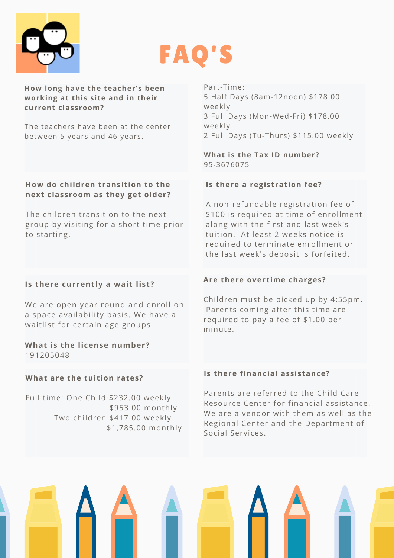



#### **How long have the teacher's been working at this site and in their current classroom?**

The teachers have been at the center between 5 years and 46 years.

#### **How do children transition to the next classroom as they get older?**

The children transition to the next group by visiting for a short time prior to starting.

## **Is there currently a wait list?**

We are open year round and enroll on a space availability basis. We have a waitlist for certain age groups

#### **What is the license number?** 191205048

## **What are the tuition rates?**

Full time: One Child \$232.00 weekly \$953.00 monthly Two children \$417.00 weekly \$1,785.00 monthly Part-Time: 5 Half Days (8am-12noon) \$178.00 weekly 3 Full Days (Mon-Wed-Fri) \$178.00 weekly 2 Full Days (Tu-Thurs) \$115.00 weekly

## **What is the Tax ID number?** 95-3676075

## **Is there a registration fee?**

A non-refundable registration fee of \$100 is required at time of enrollment along with the first and last week's tuition. At least 2 weeks notice is required to terminate enrollment or the last week's deposit is forfeited.

## **Are there overtime charges?**

Children must be picked up by 4:55pm. Parents coming after this time are required to pay a fee of \$1.00 per minute.

#### **Is there financial assistance?**

Parents are referred to the Child Care Resource Center for financial assistance. We are a vendor with them as well as the Regional Center and the Department of Social Services.

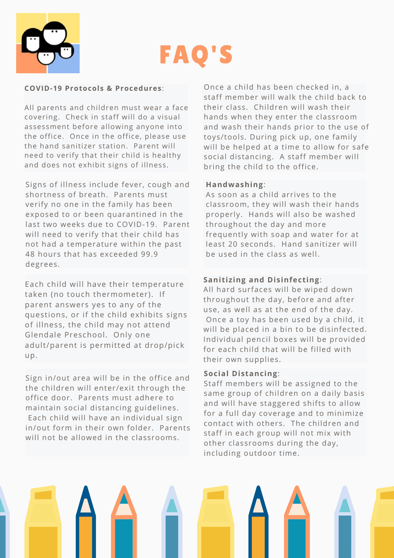

# FAQ'S

#### **COVID-19 Protocols & Procedures**:

All parents and children must wear a face covering. Check in staff will do a visual assessment before allowing anyone into the office. Once in the office, please use the hand sanitizer station. Parent will need to verify that their child is healthy and does not exhibit signs of illness.

Signs of illness include fever, cough and shortness of breath. Parents must verify no one in the family has been exposed to or been quarantined in the last two weeks due to COVID-19. Parent will need to verify that their child has not had a temperature within the past 48 hours that has exceeded 99.9 degrees.

Each child will have their temperature taken (no touch thermometer). If parent answers yes to any of the questions, or if the child exhibits signs of illness, the child may not attend Glendale Preschool. Only one adult/parent is permitted at drop/pick up.

Sign in/out area will be in the office and the children will enter/exit through the office door. Parents must adhere to maintain social distancing guidelines. Each child will have an individual sign in/out form in their own folder. Parents will not be allowed in the classrooms.

Once a child has been checked in, a staff member will walk the child back to their class. Children will wash their hands when they enter the classroom and wash their hands prior to the use of toys/tools. During pick up, one family will be helped at a time to allow for safe social distancing. A staff member will bring the child to the office.

#### **Handwashing**:

As soon as a child arrives to the classroom, they will wash their hands properly. Hands will also be washed throughout the day and more frequently with soap and water for at least 20 seconds. Hand sanitizer will be used in the class as well.

## **Sanitizing and Disinfecting**:

All hard surfaces will be wiped down throughout the day, before and after use, as well as at the end of the day. Once a toy has been used by a child, it will be placed in a bin to be disinfected. Individual pencil boxes will be provided for each child that will be filled with their own supplies.

#### **Social Distancing**:

Staff members will be assigned to the same group of children on a daily basis and will have staggered shifts to allow for a full day coverage and to minimize contact with others. The children and staff in each group will not mix with other classrooms during the day, including outdoor time.